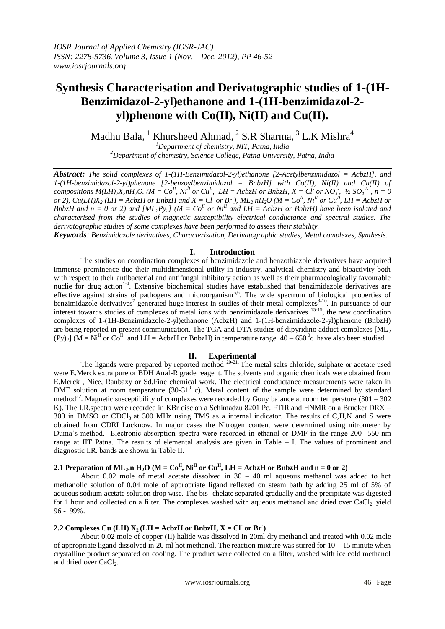# **Synthesis Characterisation and Derivatographic studies of 1-(1H-Benzimidazol-2-yl)ethanone and 1-(1H-benzimidazol-2 yl)phenone with Co(II), Ni(II) and Cu(II).**

Madhu Bala,  $^1$  Khursheed Ahmad,  $^2$  S.R Sharma,  $^3$  L.K Mishra<sup>4</sup>

*<sup>1</sup>Department of chemistry, NIT, Patna, India <sup>2</sup>Department of chemistry, Science College, Patna University, Patna, India*

*Abstract: The solid complexes of 1-(1H-Benzimidazol-2-yl)ethanone [2-Acetylbenzimidazol = AcbzH], and 1-(1H-benzimidazol-2-yl)phenone [2-benzoylbenzimidazol = BnbzH] with Co(II), Ni(II) and Cu(II) of*  compositions  $M(LH)_{2}X_{2}nH_{2}O$ . ( $M = Co^{II}$ ,  $Ni^{II}$  or  $Cu^{II}$ ,  $LH = AcbzH$  or BnbzH,  $X = Cl$  or  $NO_{3}$ ,  $\frac{1}{2}SO_{4}^{2}$ ,  $n = 0$ or 2),  $Cu(LH)X_2(LH = AcbzH$  or BnbzH and  $X = Cl$  or Br),  $ML_2 nH_2O(M = Co^{II}, Ni^{II}$  or  $Cu^{II}, LH = AcbzH$  or *BnbzH and n* = 0 or 2) and  $[ML_2Py_2]$  ( $M = Co^{II}$  or  $Ni^{II}$  and  $LH = AcbzH$  or BnbzH) have been isolated and *characterised from the studies of magnetic susceptibility electrical conductance and spectral studies. The derivatographic studies of some complexes have been performed to assess their stability.*

*Keywords: Benzimidazole derivatives, Characterisation, Derivatographic studies, Metal complexes, Synthesis.*

## **I. Introduction**

The studies on coordination complexes of benzimidazole and benzothiazole derivatives have acquired immense prominence due their multidimensional utility in industry, analytical chemistry and bioactivity both with respect to their antibacterial and antifungal inhibitory action as well as their pharmacologically favourable nuclie for drug action<sup>14</sup>. Extensive biochemical studies have established that benzimidazole derivatives are effective against strains of pathogens and microorganism<sup>5,6</sup>. The wide spectrum of biological properties of benzimidazole derivatives<sup>7</sup> generated huge interest in studies of their metal complexes<sup>8-10</sup>. In pursuance of our interest towards studies of complexes of metal ions with benzimidazole derivatives 15-19, the new coordination complexes of 1-(1H-Benzimidazole-2-yl)ethanone (AcbzH) and 1-(1H-benzimidazole-2-yl)phenone (BnbzH) are being reported in present communication. The TGA and DTA studies of dipyridino adduct complexes [ML<sub>2</sub>  $(Py)_2$  (M = Ni<sup>II</sup> or Co<sup>II</sup> and LH = AcbzH or BnbzH) in temperature range 40 – 650<sup>°</sup>c have also been studied.

## **II. Experimental**

The ligands were prepared by reported method  $20-21$ . The metal salts chloride, sulphate or acetate used were E.Merck extra pure or BDH Anal-R grade reagent. The solvents and organic chemicals were obtained from E.Merck , Nice, Ranbaxy or Sd.Fine chemical work. The electrical conductance measurements were taken in DMF solution at room temperature  $(30-31<sup>0</sup>$  c). Metal content of the sample were determined by standard method<sup>22</sup>. Magnetic susceptibility of complexes were recorded by Gouy balance at room temperature (301 – 302) K). The I.R.spectra were recorded in KBr disc on a Schimadzu 8201 Pc. FTIR and HNMR on a Brucker DRX – 300 in DMSO or CDCl<sup>3</sup> at 300 MHz using TMS as a internal indicator. The results of C,H,N and S were obtained from CDRI Lucknow. In major cases the Nitrogen content were determined using nitrometer by Duma's method. Electronic absorption spectra were recorded in ethanol or DMF in the range 200- 550 nm range at IIT Patna. The results of elemental analysis are given in Table – I. The values of prominent and diagnostic I.R. bands are shown in Table II.

# **2.1 Preparation of ML<sub>2</sub><b>.n** H<sub>2</sub>O (M = Co<sup>II</sup>, Ni<sup>II</sup> or Cu<sup>II</sup>, LH = AcbzH or BnbzH and n = 0 or 2)

About 0.02 mole of metal acetate dissolved in  $30 - 40$  ml aqueous methanol was added to hot methanolic solution of 0.04 mole of appropriate ligand reflexed on steam bath by adding 25 ml of 5% of aqueous sodium acetate solution drop wise. The bis- chelate separated gradually and the precipitate was digested for 1 hour and collected on a filter. The complexes washed with aqueous methanol and dried over  $CaCl<sub>2</sub>$  yield 96 - 99%.

# **2.2 Complexes Cu** (LH)  $X_2$  (LH = AcbzH or BnbzH,  $X = CI$  or Br)

About 0.02 mole of copper (II) halide was dissolved in 20ml dry methanol and treated with 0.02 mole of appropriate ligand dissolved in 20 ml hot methanol. The reaction mixture was stirred for  $10 - 15$  minute when crystalline product separated on cooling. The product were collected on a filter, washed with ice cold methanol and dried over CaCl<sub>2</sub>.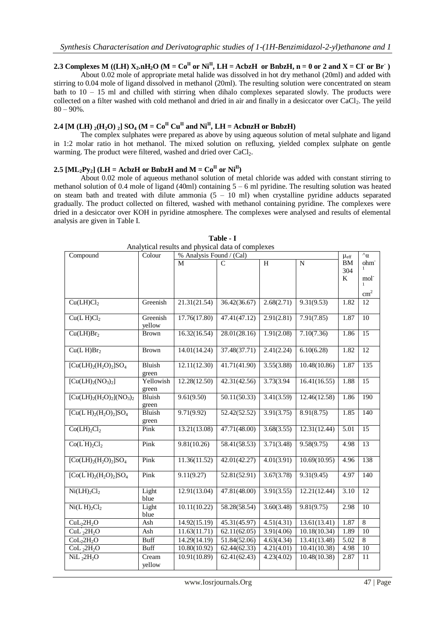# **2.3** Complexes M ((LH)  $X_2 \cdot nH_2O$  (M =  $Co^{\text{II}}$  or  $Ni^{\text{II}}$ , LH = AcbzH or BnbzH,  $n = 0$  or 2 and  $X = Cl$  or Br<sup>-</sup>)

About 0.02 mole of appropriate metal halide was dissolved in hot dry methanol (20ml) and added with stirring to 0.04 mole of ligand dissolved in methanol (20ml). The resulting solution were concentrated on steam bath to 10 – 15 ml and chilled with stirring when dihalo complexes separated slowly. The products were collected on a filter washed with cold methanol and dried in air and finally in a desiccator over  $CaCl<sub>2</sub>$ . The yeild  $80 - 90\%$ .

## **2.4** [M  $(LH)$   $_2(H_2O)$   $_2$ ]  $SO_4$   $(M = Co^{II} Cu^{II}$  and  $Ni^{II}$ ,  $LH = AchizH$  or BnbzH)

The complex sulphates were prepared as above by using aqueous solution of metal sulphate and ligand in 1:2 molar ratio in hot methanol. The mixed solution on refluxing, yielded complex sulphate on gentle warming. The product were filtered, washed and dried over CaCl<sub>2</sub>.

## **2.5**  $[ML_2P_{V_2}]$  (LH = AcbzH or BnbzH and  $M = Co^{II}$  or  $Ni^{II}$ )

About 0.02 mole of aqueous methanol solution of metal chloride was added with constant stirring to methanol solution of 0.4 mole of ligand (40ml) containing  $5 - 6$  ml pyridine. The resulting solution was heated on steam bath and treated with dilute ammonia  $(5 - 10$  ml) when crystalline pyridine adducts separated gradually. The product collected on filtered, washed with methanol containing pyridine. The complexes were dried in a desiccator over KOH in pyridine atmosphere. The complexes were analysed and results of elemental analysis are given in Table I.

| Compound                                    | Colour                 | % Analysis Found / (Cal) | $\mu_{\text{eff}}$ | $\alpha$   |                           |           |                                  |
|---------------------------------------------|------------------------|--------------------------|--------------------|------------|---------------------------|-----------|----------------------------------|
|                                             |                        | M                        | C                  | H          | $\overline{N}$            | <b>BM</b> | ohm <sup>-</sup><br>$\mathbf{1}$ |
|                                             |                        |                          |                    |            |                           | 304       |                                  |
|                                             |                        |                          |                    |            |                           | K         | mol <sup>-</sup>                 |
|                                             |                        |                          |                    |            |                           |           | cm <sup>2</sup>                  |
| Cu(LH)Cl <sub>2</sub>                       | Greenish               | 21.31(21.54)             | 36.42(36.67)       | 2.68(2.71) | 9.31(9.53)                | 1.82      | 12                               |
| Cu(L'H)Cl <sub>2</sub>                      | Greenish<br>yellow     | 17.76(17.80)             | 47.41(47.12)       | 2.91(2.81) | 7.91(7.85)                | 1.87      | 10                               |
| Cu(LH)Br <sub>2</sub>                       | <b>Brown</b>           | 16.32(16.54)             | 28.01(28.16)       | 1.91(2.08) | 7.10(7.36)                | 1.86      | 15                               |
| Cu(L'H)Br <sub>2</sub>                      | <b>Brown</b>           | 14.01(14.24)             | 37.48(37.71)       | 2.41(2.24) | 6.10(6.28)                | 1.82      | 12                               |
| $[Cu(LH)2(H2O)2]SO4$                        | <b>Bluish</b><br>green | 12.11(12.30)             | 41.71(41.90)       | 3.55(3.88) | 10.48(10.86)              | 1.87      | $\overline{135}$                 |
| $[Cu(LH)2(NO3)2]$                           | Yellowish<br>green     | 12.28(12.50)             | 42.31(42.56)       | 3.73(3.94) | 16.41(16.55)              | 1.88      | 15                               |
| $[Cu(LH)2(H2O)2](NO3)2$                     | Bluish<br>green        | 9.61(9.50)               | 50.11(50.33)       | 3.41(3.59) | 12.46(12.58)              | 1.86      | 190                              |
| $[Cu(L'H)2(H2O)2]SO4$                       | Bluish<br>green        | 9.71(9.92)               | 52.42(52.52)       | 3.91(3.75) | 8.91(8.75)                | 1.85      | 140                              |
| Co(LH) <sub>2</sub> Cl <sub>2</sub>         | Pink                   | 13.21(13.08)             | 47.71(48.00)       | 3.68(3.55) | 12.31(12.44)              | 5.01      | 15                               |
| Co(L'H) <sub>2</sub> Cl <sub>2</sub>        | Pink                   | 9.81(10.26)              | 58.41(58.53)       | 3.71(3.48) | 9.58(9.75)                | 4.98      | 13                               |
| $[Co(LH)2(H2O)2]SO4$                        | Pink                   | 11.36(11.52)             | 42.01(42.27)       | 4.01(3.91) | 10.69(10.95)              | 4.96      | 138                              |
| $[Co(L'H)2(H2O)2]SO4$                       | Pink                   | 9.11(9.27)               | 52.81(52.91)       | 3.67(3.78) | 9.31(9.45)                | 4.97      | 140                              |
| Ni(LH) <sub>2</sub> Cl <sub>2</sub>         | Light<br>blue          | 12.91(13.04)             | 47.81(48.00)       | 3.91(3.55) | 12.21(12.44)              | 3.10      | 12                               |
| $\text{Ni}(L^{'}\text{H})_{2}\text{Cl}_{2}$ | Light<br>blue          | 10.11(10.22)             | 58.28(58.54)       | 3.60(3.48) | 9.81(9.75)                | 2.98      | $\overline{10}$                  |
| CuL <sub>2</sub> 2H <sub>2</sub> O          | Ash                    | 14.92(15.19)             | 45.31(45.97)       | 4.51(4.31) | 13.61(13.41)              | 1.87      | 8                                |
| $CuL'_{2}2H_{2}O$                           | Ash                    | 11.63(11.71)             | 62.11(62.05)       | 3.91(4.06) | $\overline{10.18(10.34)}$ | 1.89      | $\overline{10}$                  |
| CoL <sub>2</sub> 2H <sub>2</sub> O          | <b>Buff</b>            | 14.29(14.19)             | 51.84(52.06)       | 4.63(4.34) | 13.41(13.48)              | 5.02      | 8                                |
| CoL <sub>2</sub> 2H <sub>2</sub> O          | <b>Buff</b>            | 10.80(10.92)             | 62.44(62.33)       | 4.21(4.01) | 10.41(10.38)              | 4.98      | 10                               |
| $NiL_{2}^{2}2H_{2}O$                        | Cream<br>yellow        | 10.91(10.89)             | 62.41(62.43)       | 4.23(4.02) | 10.48(10.38)              | 2.87      | 11                               |

**Table - I** Analytical results and physical data of complexes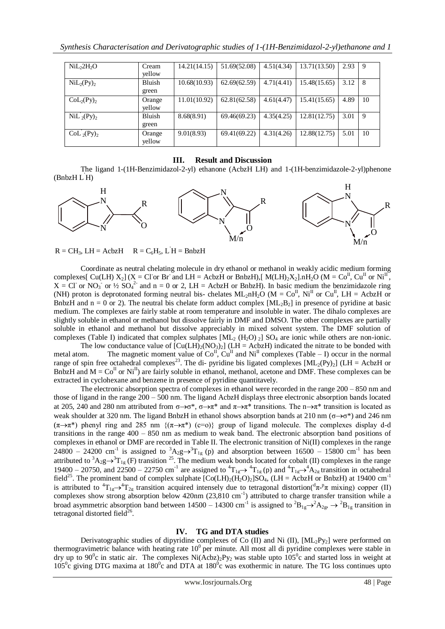| NiL <sub>2</sub> H <sub>2</sub> O   | Cream<br>vellow        | 14.21(14.15) | 51.69(52.08) | 4.51(4.34) | 13.71(13.50) | 2.93 | 9  |
|-------------------------------------|------------------------|--------------|--------------|------------|--------------|------|----|
| $\text{NiL}_2(\text{Py})_2$         | Bluish<br>green        | 10.68(10.93) | 62.69(62.59) | 4.71(4.41) | 15.48(15.65) | 3.12 | 8  |
| CoL <sub>2</sub> (Py)               | Orange<br>vellow       | 11.01(10.92) | 62.81(62.58) | 4.61(4.47) | 15.41(15.65) | 4.89 | 10 |
| $\mathrm{NiL}_{2}(\mathrm{Py})_{2}$ | <b>Bluish</b><br>green | 8.68(8.91)   | 69.46(69.23) | 4.35(4.25) | 12.81(12.75) | 3.01 | 9  |
| $CoL_2(Py)_2$                       | Orange<br>yellow       | 9.01(8.93)   | 69.41(69.22) | 4.31(4.26) | 12.88(12.75) | 5.01 | 10 |

#### **III. Result and Discussion**

The ligand 1-(1H-Benzimidazol-2-yl) ethanone (AcbzH LH) and 1-(1H-benzimidazole-2-yl)phenone (BnbzH L'H)



 $R = CH_3$ , LH = AcbzH  $R = C_6H_5$ , LH = BnbzH

Coordinate as neutral chelating molecule in dry ethanol or methanol in weakly acidic medium forming complexes[ Cu(LH)  $X_2$ ] (X = Cl or Br and LH = AcbzH or BnbzH),[ M(LH)<sub>2</sub>X<sub>2</sub>].nH<sub>2</sub>O (M = Co<sup>II</sup>, Cu<sup>II</sup> or Ni<sup>II</sup>,  $X = CI$  or NO<sub>3</sub> or  $\frac{1}{2}$  SO<sub>4</sub><sup>2</sup> and n = 0 or 2, LH = AcbzH or BnbzH). In basic medium the benzimidazole ring (NH) proton is deprotonated forming neutral bis- chelates  $ML_2nH_2O$  ( $M = Co^{II}$ ,  $Ni^{II}$  or  $Cu^{II}$ ,  $LH = AcbzH$  or BnbzH and  $n = 0$  or 2). The neutral bis chelate form adduct complex  $[ML_2B_2]$  in presence of pyridine at basic medium. The complexes are fairly stable at room temperature and insoluble in water. The dihalo complexes are slightly soluble in ethanol or methanol but dissolve fairly in DMF and DMSO. The other complexes are partially soluble in ethanol and methanol but dissolve appreciably in mixed solvent system. The DMF solution of complexes (Table I) indicated that complex sulphates  $[ML_2 (H_2O)_2] SO_4$  are ionic while others are non-ionic.

The low conductance value of  $\text{[Cu(LH)<sub>2</sub>(NO<sub>3</sub>)<sub>2</sub>]}$  (LH = AcbzH) indicated the nitrate to be bonded with metal atom. The magnetic moment value of  $Co^{II}$ ,  $Cu^{II}$  and  $Ni^{II}$  complexes (Table – I) occur in the normal range of spin free octahedral complexes<sup>23</sup>. The di- pyridine bis ligated complexes  $[ML_2(Py)_2]$  (LH = AcbzH or BnbzH and  $M = Co^{II}$  or  $Ni^{II}$ ) are fairly soluble in ethanol, methanol, acetone and DMF. These complexes can be extracted in cyclohexane and benzene in presence of pyridine quantitavely.

The electronic absorption spectra of complexes in ethanol were recorded in the range 200 – 850 nm and those of ligand in the range 200 – 500 nm. The ligand AcbzH displays three electronic absorption bands located at 205, 240 and 280 nm attributed from  $\sigma \rightarrow \sigma^*$ ,  $\sigma \rightarrow \pi^*$  and  $\pi \rightarrow \pi^*$  transitions. The n $\rightarrow \pi^*$  transition is located as weak shoulder at 320 nm. The ligand BnbzH in ethanol shows absorption bands at 210 nm ( $\sigma \rightarrow \sigma^*$ ) and 246 nm  $(\pi \rightarrow \pi^*)$  phenyl ring and 285 nm  $\{(\pi \rightarrow \pi^*)$  (c=o)} group of ligand molecule. The complexes display d-d transitions in the range 400 – 850 nm as medium to weak band. The electronic absorption band positions of complexes in ethanol or DMF are recorded in Table II. The electronic transition of Ni(II) complexes in the range 24800 – 24200 cm<sup>-1</sup> is assigned to  ${}^{3}A_{2}g\rightarrow {}^{3}T_{1g}$  (p) and absorption between 16500 – 15800 cm<sup>-1</sup> has been attributed to  ${}^3A_2g\rightarrow {}^3T_{1g}$  (F) transition <sup>25</sup>. The medium weak bonds located for cobalt (II) complexes in the range 19400 – 20750, and 22500 – 22750 cm<sup>-1</sup> are assigned to  ${}^4T_{1g} \rightarrow {}^4T_{1g}$  (p) and  ${}^4T_{1g} \rightarrow {}^4A_{2g}$  transition in octahedral field<sup>25</sup>. The prominent band of complex sulphate  $[Co(LH)_2(H_2O)_2]SO_4$ , (LH = AcbzH or BnbzH) at 19400 cm<sup>-1</sup> is attributed to  ${}^4T_{1g} \rightarrow {}^4T_{2g}$  transition acquired intensely due to tetragonal distortion( ${}^d\pi$ - ${}^p\pi$  mixing) copper (II) complexes show strong absorption below 420nm (23,810 cm<sup>-1</sup>) attributed to charge transfer transition while a broad asymmetric absorption band between 14500 – 14300 cm<sup>-1</sup> is assigned to  ${}^{2}B_{1g} \rightarrow {}^{2}A_{2g}$ ,  $\rightarrow {}^{2}B_{1g}$  transition in tetragonal distorted field $^{26}$ .

## **IV. TG and DTA studies**

Derivatographic studies of dipyridine complexes of Co (II) and Ni (II),  $[ML_2Py_2]$  were performed on thermogravimetric balance with heating rate  $10^0$  per minute. All most all di pyridine complexes were stable in dry up to 90<sup>°</sup>c in static air. The complexes Ni(Acbz)<sub>2</sub>Py<sub>2</sub> was stable upto  $105$ <sup>°</sup>c and started loss in weight at  $105^{\circ}$ c giving DTG maxima at  $180^{\circ}$ c and DTA at  $180^{\circ}$ c was exothermic in nature. The TG loss continues upto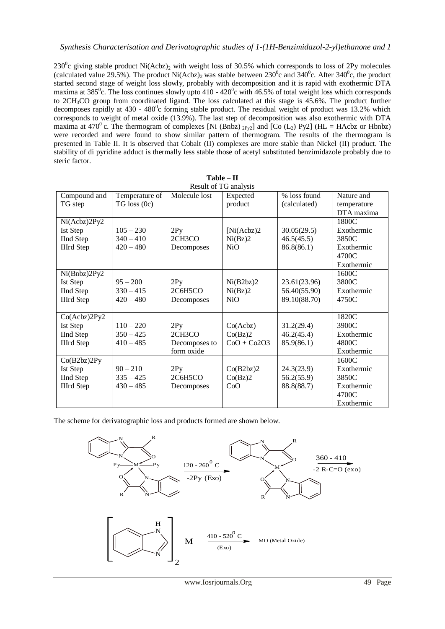230 $^{\circ}$ c giving stable product Ni(Acbz)<sub>2</sub> with weight loss of 30.5% which corresponds to loss of 2Py molecules (calculated value 29.5%). The product Ni(Acbz)<sub>2</sub> was stable between 230<sup>°</sup>c and 340<sup>°</sup>c. After 340<sup>°</sup>c, the product started second stage of weight loss slowly, probably with decomposition and it is rapid with exothermic DTA maxima at 385<sup>°</sup>c. The loss continues slowly upto  $410 - 420$ <sup>°</sup>c with  $46.5\%$  of total weight loss which corresponds to 2CH3CO group from coordinated ligand. The loss calculated at this stage is 45.6%. The product further decomposes rapidly at  $430 - 480^{\circ}$ c forming stable product. The residual weight of product was 13.2% which corresponds to weight of metal oxide (13.9%). The last step of decomposition was also exothermic with DTA maxima at 470<sup>°</sup> c. The thermogram of complexes [Ni (Bnbz) <sub>2Py2</sub>] and [Co (L<sub>2</sub>) Py2] (HL = HAcbz or Hbnbz) were recorded and were found to show similar pattern of thermogram. The results of the thermogram is presented in Table II. It is observed that Cobalt (II) complexes are more stable than Nickel (II) product. The stability of di pyridine adduct is thermally less stable those of acetyl substituted benzimidazole probably due to steric factor.

| Result of TG analysis |                  |               |               |              |             |  |  |  |
|-----------------------|------------------|---------------|---------------|--------------|-------------|--|--|--|
| Compound and          | Temperature of   | Molecule lost | Expected      | % loss found | Nature and  |  |  |  |
| TG step               | $TG$ loss $(0c)$ |               | product       | (calculated) | temperature |  |  |  |
|                       |                  |               |               |              | DTA maxima  |  |  |  |
| Ni(Acbz)2Py2          |                  |               |               |              | 1800C       |  |  |  |
| Ist Step              | $105 - 230$      | 2Py           | [Ni(Acbz)2]   | 30.05(29.5)  | Exothermic  |  |  |  |
| <b>IInd Step</b>      | $340 - 410$      | 2CH3CO        | Ni(Bz)2       | 46.5(45.5)   | 3850C       |  |  |  |
| <b>IIIrd Step</b>     | $420 - 480$      | Decomposes    | <b>NiO</b>    | 86.8(86.1)   | Exothermic  |  |  |  |
|                       |                  |               |               |              | 4700C       |  |  |  |
|                       |                  |               |               |              | Exothermic  |  |  |  |
| Ni(Bnbz)2Py2          |                  |               |               |              | 1600C       |  |  |  |
| Ist Step              | $95 - 200$       | 2Py           | Ni(B2bz)2     | 23.61(23.96) | 3800C       |  |  |  |
| <b>IInd Step</b>      | $330 - 415$      | 2C6H5CO       | Ni(Bz)2       | 56.40(55.90) | Exothermic  |  |  |  |
| <b>IIIrd Step</b>     | $420 - 480$      | Decomposes    | NiO           | 89.10(88.70) | 4750C       |  |  |  |
|                       |                  |               |               |              |             |  |  |  |
| Co(Acbz)2Py2          |                  |               |               |              | 1820C       |  |  |  |
| Ist Step              | $110 - 220$      | 2Py           | Co(Acbz)      | 31.2(29.4)   | 3900C       |  |  |  |
| <b>IInd Step</b>      | $350 - 425$      | 2CH3CO        | Co(Bz)2       | 46.2(45.4)   | Exothermic  |  |  |  |
| <b>IIIrd Step</b>     | $410 - 485$      | Decomposes to | $CoO + Co2O3$ | 85.9(86.1)   | 4800C       |  |  |  |
|                       |                  | form oxide    |               |              | Exothermic  |  |  |  |
| Co(B2bz)2Py           |                  |               |               |              | 1600C       |  |  |  |
| Ist Step              | $90 - 210$       | 2Py           | Co(B2bz)2     | 24.3(23.9)   | Exothermic  |  |  |  |
| <b>IInd Step</b>      | $335 - 425$      | 2C6H5CO       | Co(Bz)2       | 56.2(55.9)   | 3850C       |  |  |  |
| <b>IIIrd Step</b>     | $430 - 485$      | Decomposes    | CoO           | 88.8(88.7)   | Exothermic  |  |  |  |
|                       |                  |               |               |              | 4700C       |  |  |  |
|                       |                  |               |               |              | Exothermic  |  |  |  |

| Table – II       |  |
|------------------|--|
| eult of TG analy |  |

The scheme for derivatographic loss and products formed are shown below.

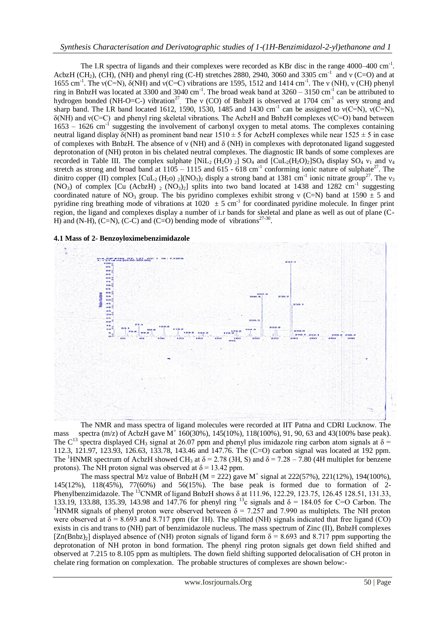The I.R spectra of ligands and their complexes were recorded as KBr disc in the range 4000–400 cm<sup>-1</sup>. AcbzH (CH<sub>2</sub>), (CH), (NH) and phenyl ring (C-H) stretches 2880, 2940, 3060 and 3305 cm<sup>-1</sup> and v (C=O) and at 1655 cm<sup>-1</sup>. The ν(C=N), δ(NH) and ν(C=C) vibrations are 1595, 1512 and 1414 cm<sup>-1</sup>. The ν (NH), ν (CH) phenyl ring in BnbzH was located at 3300 and 3040 cm<sup>-1</sup>. The broad weak band at  $3260 - 3150$  cm<sup>-1</sup> can be attributed to hydrogen bonded (NH-O=C-) vibration<sup>27</sup>. The v (CO) of BnbzH is observed at 1704 cm<sup>-1</sup> as very strong and sharp band. The I.R band located 1612, 1590, 1530, 1485 and 1430 cm<sup>-1</sup> can be assigned to  $v(C=N)$ ,  $v(C=N)$ , δ(NH) and ν(C=C) and phenyl ring skeletal vibrations. The AcbzH and BnbzH complexes ν(C=O) band between 1653 – 1626 cm-1 suggesting the involvement of carbonyl oxygen to metal atoms. The complexes containing neutral ligand display  $\delta(NH)$  as prominent band near 1510  $\pm$  5 for AcbzH complexes while near 1525  $\pm$  5 in case of complexes with BnbzH. The absence of ν (NH) and δ (NH) in complexes with deprotonated ligand suggested deprotonation of (NH) proton in bis chelated neutral complexes. The diagnostic IR bands of some complexes are recorded in Table III. The complex sulphate  $[NiL_2(H_2O)]$   $SO_4$  and  $[CuL_2(H_2O)_2]SO_4$  display  $SO_4$   $v_1$  and  $v_4$ stretch as strong and broad band at  $1105 - 1115$  and  $615 - 618$  cm<sup>-1</sup> conforming ionic nature of sulphate<sup>27</sup>. The dinitro copper (II) complex  $\text{[CuL}_2(\text{H}_2\text{o})_2\text{]}(N\text{O}_3)_2$  disply a strong band at 1381 cm<sup>-1</sup> ionic nitrate group<sup>27</sup>. The v<sub>3</sub> (NO<sub>3</sub>) of complex [Cu (AcbzH)  $_2$  (NO<sub>3</sub>)<sub>2</sub>] splits into two band located at 1438 and 1282 cm<sup>-1</sup> suggesting coordinated nature of NO<sub>3</sub> group. The bis pyridino complexes exhibit strong y (C=N) band at 1590  $\pm$  5 and pyridine ring breathing mode of vibrations at  $1020 \pm 5$  cm<sup>-1</sup> for coordinated pyridine molecule. In finger print region, the ligand and complexes display a number of i.r bands for skeletal and plane as well as out of plane (C-H) and (N-H), (C=N), (C-C) and (C=O) bending mode of vibrations<sup>27-30</sup>.





The NMR and mass spectra of ligand molecules were recorded at IIT Patna and CDRI Lucknow. The mass spectra (m/z) of AcbzH gave M<sup>+</sup> 160(30%), 145(10%), 118(100%), 91, 90, 63 and 43(100% base peak). The C<sup>13</sup> spectra displayed CH<sub>3</sub> signal at 26.07 ppm and phenyl plus imidazole ring carbon atom signals at  $\delta$  = 112.3, 121.97, 123.93, 126.63, 133.78, 143.46 and 147.76. The (C=O) carbon signal was located at 192 ppm. The <sup>1</sup>HNMR spectrum of AcbzH showed CH<sub>3</sub> at  $\delta$  = 2.78 (3H, S) and  $\delta$  = 7.28 – 7.80 (4H multiplet for benzene protons). The NH proton signal was observed at  $\delta = 13.42$  ppm.

The mass spectral M/z value of BnbzH (M = 222) gave M<sup>+</sup> signal at 222(57%), 221(12%), 194(100%), 145(12%), 118(45%), 77(60%) and 56(15%). The base peak is formed due to formation of 2- Phenylbenzimidazole. The <sup>13</sup>CNMR of ligand BnbzH shows  $\delta$  at 111.96, 122.29, 123.75, 126.45 128.51, 131.33, 133.19, 133.88, 135.39, 143.98 and 147.76 for phenyl ring <sup>13</sup>c signals and δ = 184.05 for C=O Carbon. The <sup>1</sup>HNMR signals of phenyl proton were observed between  $\delta$  = 7.257 and 7.990 as multiplets. The NH proton were observed at  $\delta = 8.693$  and 8.717 ppm (for 1H). The splitted (NH) signals indicated that free ligand (CO) exists in cis and trans to (NH) part of benzimidazole nucleus. The mass spectrum of Zinc (II), BnbzH complexes  $[Zn(Bnbz)_2]$  displayed absence of (NH) proton signals of ligand form  $\delta = 8.693$  and 8.717 ppm supporting the deprotonation of NH proton in bond formation. The phenyl ring proton signals get down field shifted and observed at 7.215 to 8.105 ppm as multiplets. The down field shifting supported delocalisation of CH proton in chelate ring formation on complexation. The probable structures of complexes are shown below:-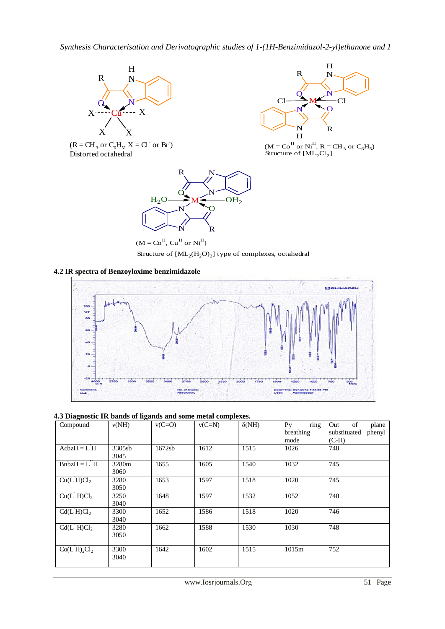









 $(M = Co^{II}, Cu^{II} \text{ or } Ni^{II})$ Structure of  $\text{[ML}_{2}\text{(H}_{2}\text{O})_{2}\text{]}$  type of complexes, octahedral

## **4.2 IR spectra of Benzoyloxime benzimidazole**



## **4.3 Diagnostic IR bands of ligands and some metal complexes.**

| Compound                             | v(NH)          | $v(C=O)$ | $v(C=N)$ | $\delta(NH)$ | P <sub>V</sub><br>ring<br>breathing | Out<br>of<br>plane<br>substituated<br>phenyl |
|--------------------------------------|----------------|----------|----------|--------------|-------------------------------------|----------------------------------------------|
|                                      |                |          |          |              | mode                                | $(C-H)$                                      |
| $AcbzH = L'H$                        | 3305sb<br>3045 | 1672sb   | 1612     | 1515         | 1026                                | 748                                          |
| $Bn b z H = L^2 H$                   | 3280m<br>3060  | 1655     | 1605     | 1540         | 1032                                | 745                                          |
| Cu(L'H)Cl <sub>2</sub>               | 3280<br>3050   | 1653     | 1597     | 1518         | 1020                                | 745                                          |
| Cu(L <sup>''</sup> H)Cl <sub>2</sub> | 3250<br>3040   | 1648     | 1597     | 1532         | 1052                                | 740                                          |
| Cd(L'H)Cl <sub>2</sub>               | 3300<br>3040   | 1652     | 1586     | 1518         | 1020                                | 746                                          |
| Cd(L'H)Cl <sub>2</sub>               | 3280<br>3050   | 1662     | 1588     | 1530         | 1030                                | 748                                          |
| Co(LH) <sub>2</sub> Cl <sub>2</sub>  | 3300<br>3040   | 1642     | 1602     | 1515         | 1015m                               | 752                                          |